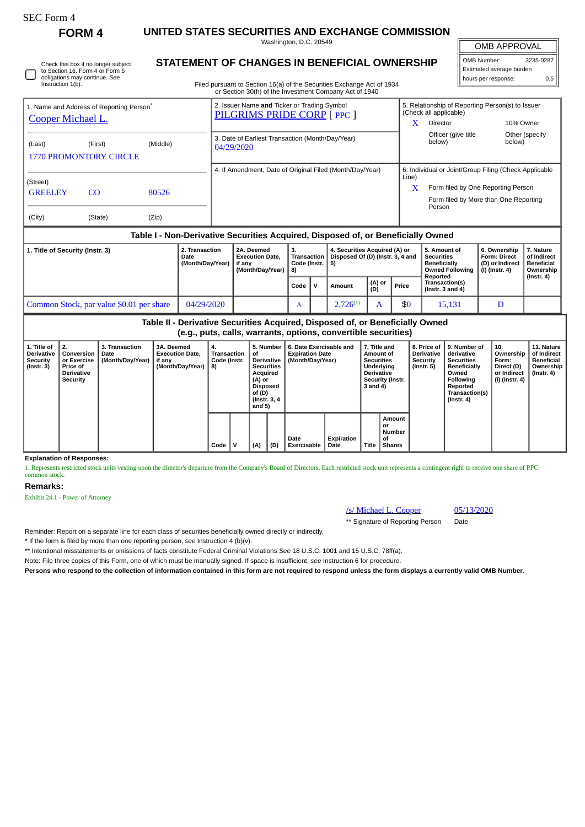# SEC Form 4

Instruction 1(b).

Check this box if no longer subject to Section 16. Form 4 or Form 5 obligations may continue. *See*

**FORM 4 UNITED STATES SECURITIES AND EXCHANGE COMMISSION** Washington, D.C. 20549

OMB APPROVAL

 $\mathbb{I}$ 

| OMB Number:              | 3235-0287 |  |  |  |  |  |  |  |  |
|--------------------------|-----------|--|--|--|--|--|--|--|--|
| Estimated average burden |           |  |  |  |  |  |  |  |  |
| hours per response:      | 0.5       |  |  |  |  |  |  |  |  |

**STATEMENT OF CHANGES IN BENEFICIAL OWNERSHIP**

Filed pursuant to Section 16(a) of the Securities Exchange Act of 1934 or Section 30(h) of the Investment Company Act of 1940

| 1. Name and Address of Reporting Person <sup>®</sup><br>Cooper Michael L. |                                                                                  |          |               | 2. Issuer Name and Ticker or Trading Symbol<br>PILGRIMS PRIDE CORP [ PPC ] |   |                              | 5. Relationship of Reporting Person(s) to Issuer<br>(Check all applicable) |                                                                             |             |                |  |  |
|---------------------------------------------------------------------------|----------------------------------------------------------------------------------|----------|---------------|----------------------------------------------------------------------------|---|------------------------------|----------------------------------------------------------------------------|-----------------------------------------------------------------------------|-------------|----------------|--|--|
|                                                                           |                                                                                  |          |               |                                                                            |   |                              | x                                                                          | <b>Director</b>                                                             |             | 10% Owner      |  |  |
| (Last)<br><b>1770 PROMONTORY CIRCLE</b>                                   | (First)                                                                          | (Middle) |               | 3. Date of Earliest Transaction (Month/Day/Year)<br>04/29/2020             |   |                              |                                                                            | Officer (give title<br>below)                                               | below)      | Other (specify |  |  |
|                                                                           |                                                                                  |          |               | 4. If Amendment, Date of Original Filed (Month/Day/Year)                   |   |                              | 6. Individual or Joint/Group Filing (Check Applicable                      |                                                                             |             |                |  |  |
| (Street)<br><b>GREELEY</b>                                                | <sub>CO</sub>                                                                    | 80526    |               |                                                                            |   |                              | Line)<br>X                                                                 | Form filed by One Reporting Person<br>Form filed by More than One Reporting |             |                |  |  |
| (City)                                                                    | (State)                                                                          | (Zip)    |               |                                                                            |   |                              |                                                                            | Person                                                                      |             |                |  |  |
|                                                                           | Table I - Non-Derivative Securities Acquired, Disposed of, or Beneficially Owned |          |               |                                                                            |   |                              |                                                                            |                                                                             |             |                |  |  |
| 1 Title of Coourity (Inctr. 2)                                            |                                                                                  |          | 2 Transaction | 24 Deemed                                                                  | 2 | A Securities Acquired (A) or |                                                                            | 5. Amount of                                                                | 6 Ownershin | 7 Noture       |  |  |

| 1. Title of Security (Instr. 3)          | <b>2. Transaction</b><br>Date<br>(Month/Day/Year) | 2A. Deemed<br><b>Execution Date.</b><br>if anv<br>(Month/Dav/Year) | З.<br>Transaction<br>Code (Instr. 15)<br>1 8) |    | 4. Securities Acquired (A) or<br>Disposed Of (D) (Instr. 3, 4 and |               |       | 5. Amount of<br><b>Securities</b><br><b>Beneficially</b><br>Owned Following   (I) (Instr. 4)<br>Reported | 6. Ownership<br><b>Form: Direct</b><br>l (D) or Indirect | . Nature<br>of Indirect<br><b>Beneficial</b><br>Ownership |
|------------------------------------------|---------------------------------------------------|--------------------------------------------------------------------|-----------------------------------------------|----|-------------------------------------------------------------------|---------------|-------|----------------------------------------------------------------------------------------------------------|----------------------------------------------------------|-----------------------------------------------------------|
|                                          |                                                   |                                                                    | Code                                          | ٠v | Amount                                                            | (A) or<br>(D) | Price | Transaction(s)<br>(Instr. $3$ and $4$ )                                                                  |                                                          | $($ Instr. 4 $)$                                          |
| Common Stock, par value \$0.01 per share | 04/29/2020                                        |                                                                    | $\mathbf{A}$                                  |    | $2.726^{(1)}$                                                     |               | \$0   | 15,131                                                                                                   |                                                          |                                                           |

**Table II - Derivative Securities Acquired, Disposed of, or Beneficially Owned (e.g., puts, calls, warrants, options, convertible securities)**

| 1. Title of<br><b>Derivative</b><br>Security<br>$($ Instr. 3 $)$ | $\perp$ 2.<br>Conversion<br>or Exercise<br>Price of<br>Derivative<br>Security | 3. Transaction<br>Date<br>(Month/Day/Year) | 3A. Deemed<br><b>Execution Date.</b><br>if any<br>(Month/Day/Year) | 4.<br>Transaction<br>Code (Instr.<br>8) |   | 5. Number<br>οf<br>Derivative<br><b>Securities</b><br>Acquired<br>(A) or<br>Disposed<br>of (D)<br>(Instr. 3, 4)<br>and 5)<br>(D)<br>(A) |  | 6. Date Exercisable and<br><b>Expiration Date</b><br>(Month/Day/Year) | 7. Title and<br>Amount of<br><b>Securities</b><br><b>Underlying</b><br><b>Derivative</b><br>Security (Instr.<br>3 and 4) |       | 8. Price of<br><b>Derivative</b><br>Security<br>$($ Instr. 5 $)$ | 9. Number of<br>derivative<br><b>Securities</b><br><b>Beneficially</b><br>Owned<br>Following<br>Reported<br>Transaction(s)<br>$($ Instr. 4 $)$ | 10.<br>Ownership<br>Form:<br>Direct (D)<br>or Indirect<br>(I) (Instr. 4) | 11. Nature<br>of Indirect<br>Beneficial<br>Ownership<br>(Instr. 4) |
|------------------------------------------------------------------|-------------------------------------------------------------------------------|--------------------------------------------|--------------------------------------------------------------------|-----------------------------------------|---|-----------------------------------------------------------------------------------------------------------------------------------------|--|-----------------------------------------------------------------------|--------------------------------------------------------------------------------------------------------------------------|-------|------------------------------------------------------------------|------------------------------------------------------------------------------------------------------------------------------------------------|--------------------------------------------------------------------------|--------------------------------------------------------------------|
|                                                                  |                                                                               |                                            |                                                                    | Code                                    | v |                                                                                                                                         |  | Date<br><b>Exercisable</b>                                            | Expiration<br>Date                                                                                                       | Title | Amount<br>or<br>Number<br>0f<br><b>Shares</b>                    |                                                                                                                                                |                                                                          |                                                                    |

**Explanation of Responses:**

1. Represents restricted stock units vesting upon the director's departure from the Company's Board of Directors. Each restricted stock unit represents a contingent right to receive one share of PPC common stock.

### **Remarks:**

Exhibit 24.1 - Power of Attorney

## /s/ Michael L. Cooper 05/13/2020

\*\* Signature of Reporting Person Date

Reminder: Report on a separate line for each class of securities beneficially owned directly or indirectly.

\* If the form is filed by more than one reporting person, *see* Instruction 4 (b)(v).

\*\* Intentional misstatements or omissions of facts constitute Federal Criminal Violations *See* 18 U.S.C. 1001 and 15 U.S.C. 78ff(a).

Note: File three copies of this Form, one of which must be manually signed. If space is insufficient, *see* Instruction 6 for procedure.

**Persons who respond to the collection of information contained in this form are not required to respond unless the form displays a currently valid OMB Number.**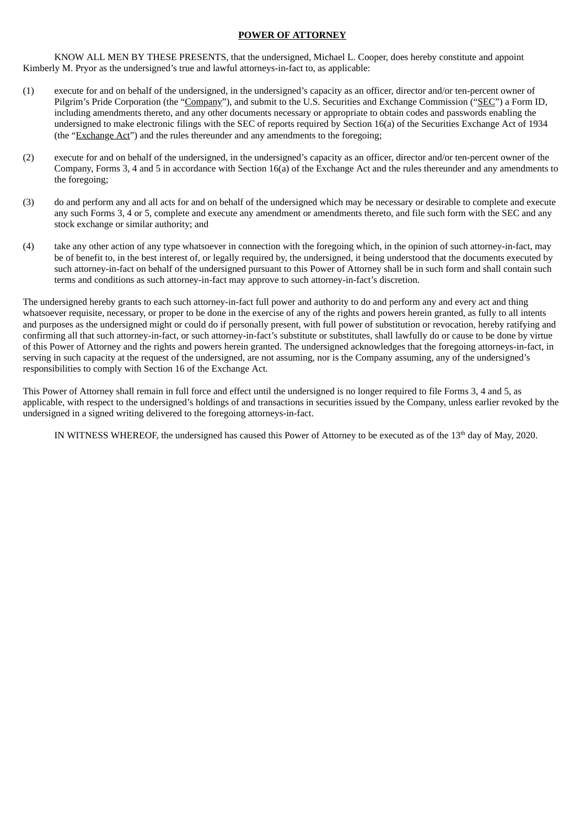## **POWER OF ATTORNEY**

KNOW ALL MEN BY THESE PRESENTS, that the undersigned, Michael L. Cooper, does hereby constitute and appoint Kimberly M. Pryor as the undersigned's true and lawful attorneys-in-fact to, as applicable:

- (1) execute for and on behalf of the undersigned, in the undersigned's capacity as an officer, director and/or ten-percent owner of Pilgrim's Pride Corporation (the "Company"), and submit to the U.S. Securities and Exchange Commission ("SEC") a Form ID, including amendments thereto, and any other documents necessary or appropriate to obtain codes and passwords enabling the undersigned to make electronic filings with the SEC of reports required by Section 16(a) of the Securities Exchange Act of 1934 (the "Exchange Act") and the rules thereunder and any amendments to the foregoing;
- (2) execute for and on behalf of the undersigned, in the undersigned's capacity as an officer, director and/or ten-percent owner of the Company, Forms 3, 4 and 5 in accordance with Section 16(a) of the Exchange Act and the rules thereunder and any amendments to the foregoing;
- (3) do and perform any and all acts for and on behalf of the undersigned which may be necessary or desirable to complete and execute any such Forms 3, 4 or 5, complete and execute any amendment or amendments thereto, and file such form with the SEC and any stock exchange or similar authority; and
- (4) take any other action of any type whatsoever in connection with the foregoing which, in the opinion of such attorney-in-fact, may be of benefit to, in the best interest of, or legally required by, the undersigned, it being understood that the documents executed by such attorney-in-fact on behalf of the undersigned pursuant to this Power of Attorney shall be in such form and shall contain such terms and conditions as such attorney-in-fact may approve to such attorney-in-fact's discretion.

The undersigned hereby grants to each such attorney-in-fact full power and authority to do and perform any and every act and thing whatsoever requisite, necessary, or proper to be done in the exercise of any of the rights and powers herein granted, as fully to all intents and purposes as the undersigned might or could do if personally present, with full power of substitution or revocation, hereby ratifying and confirming all that such attorney-in-fact, or such attorney-in-fact's substitute or substitutes, shall lawfully do or cause to be done by virtue of this Power of Attorney and the rights and powers herein granted. The undersigned acknowledges that the foregoing attorneys-in-fact, in serving in such capacity at the request of the undersigned, are not assuming, nor is the Company assuming, any of the undersigned's responsibilities to comply with Section 16 of the Exchange Act.

This Power of Attorney shall remain in full force and effect until the undersigned is no longer required to file Forms 3, 4 and 5, as applicable, with respect to the undersigned's holdings of and transactions in securities issued by the Company, unless earlier revoked by the undersigned in a signed writing delivered to the foregoing attorneys-in-fact.

IN WITNESS WHEREOF, the undersigned has caused this Power of Attorney to be executed as of the  $13<sup>th</sup>$  day of May, 2020.